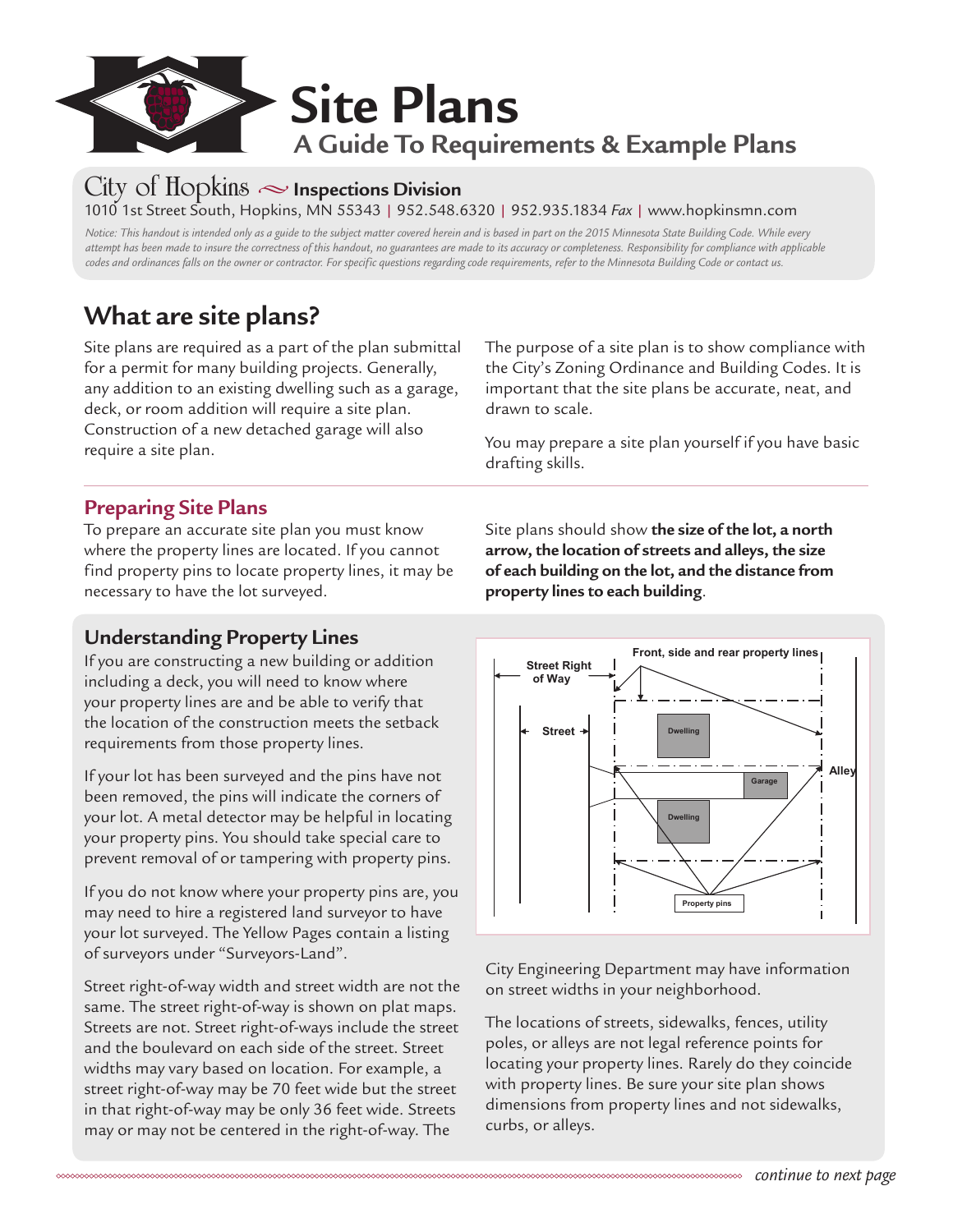

### **City of Hopkins • Inspections Division** 1010 1st Street South, Hopkins, MN 55343 | 952.548.6320 | 952.935.1834 *Fax* | www.hopkinsmn.com

*Notice: This handout is intended only as a guide to the subject matter covered herein and is based in part on the 2015 Minnesota State Building Code. While every attempt has been made to insure the correctness of this handout, no guarantees are made to its accuracy or completeness. Responsibility for compliance with applicable codes and ordinances falls on the owner or contractor. For specific questions regarding code requirements, refer to the Minnesota Building Code or contact us.*

# **What are site plans?**

Site plans are required as a part of the plan submittal for a permit for many building projects. Generally, any addition to an existing dwelling such as a garage, deck, or room addition will require a site plan. Construction of a new detached garage will also require a site plan.

### **Preparing Site Plans**

To prepare an accurate site plan you must know where the property lines are located. If you cannot find property pins to locate property lines, it may be necessary to have the lot surveyed.

### **Understanding Property Lines**

If you are constructing a new building or addition including a deck, you will need to know where your property lines are and be able to verify that the location of the construction meets the setback requirements from those property lines.

If your lot has been surveyed and the pins have not been removed, the pins will indicate the corners of your lot. A metal detector may be helpful in locating your property pins. You should take special care to prevent removal of or tampering with property pins.

If you do not know where your property pins are, you may need to hire a registered land surveyor to have your lot surveyed. The Yellow Pages contain a listing of surveyors under "Surveyors-Land".

Street right-of-way width and street width are not the same. The street right-of-way is shown on plat maps. Streets are not. Street right-of-ways include the street and the boulevard on each side of the street. Street widths may vary based on location. For example, a street right-of-way may be 70 feet wide but the street in that right-of-way may be only 36 feet wide. Streets may or may not be centered in the right-of-way. The

The purpose of a site plan is to show compliance with the City's Zoning Ordinance and Building Codes. It is important that the site plans be accurate, neat, and drawn to scale.

You may prepare a site plan yourself if you have basic drafting skills.

Site plans should show **the size of the lot, a north arrow, the location of streets and alleys, the size of each building on the lot, and the distance from property lines to each building**.



City Engineering Department may have information on street widths in your neighborhood. If you success and the pins have not been removed.

The locations of streets, sidewalks, fences, utility  $\hskip100pt$ poles, or alleys are not legal reference points for locating your property lines. Rarely do they coincide with property lines. Be sure your site plan shows dimensions from property lines and not sidewalks, street and the boulevard on each side of the boulevard on each side of the street. Street widths may vary vary The locations of streets, sidewalks, fences, utility  $\overline{\phantom{a}}$ poics, or alleys are not legal reference points for  $t$  with property mies. De sure your site plan shows  $b_{\rm G}$  on alleys. For example, a street right-of-way may be  $70$ 

information on street widths in your neighborhood.<br>In your neighborhood.com/widths in your neighborhood.com/widths in your neighborhood.com/widths in your neighb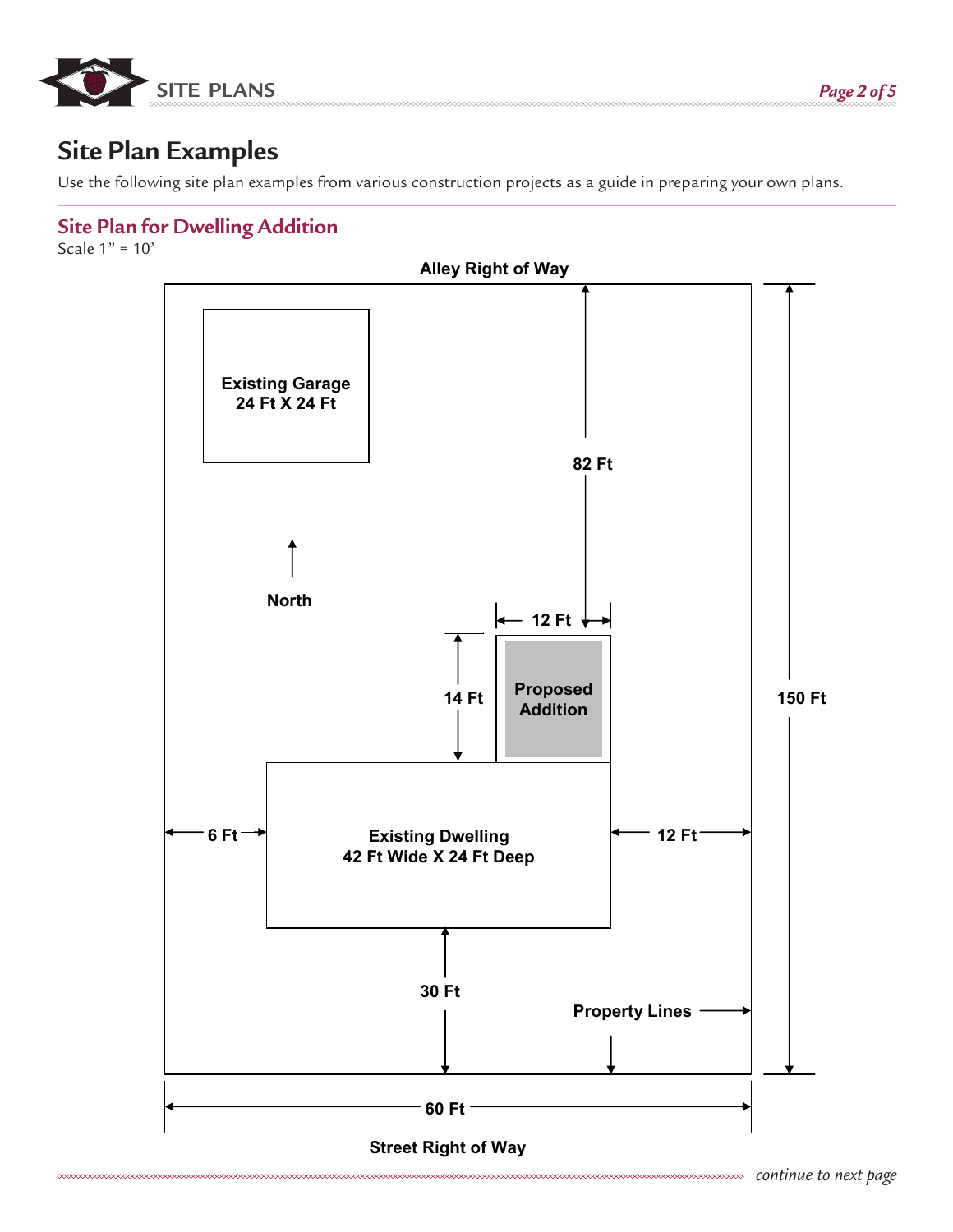

# **Site Plan Examples**

Use the following site plan examples from various construction projects as a guide in preparing your own plans.

## **Site Plan for Dwelling Addition**

Scale  $1" = 10'$ 

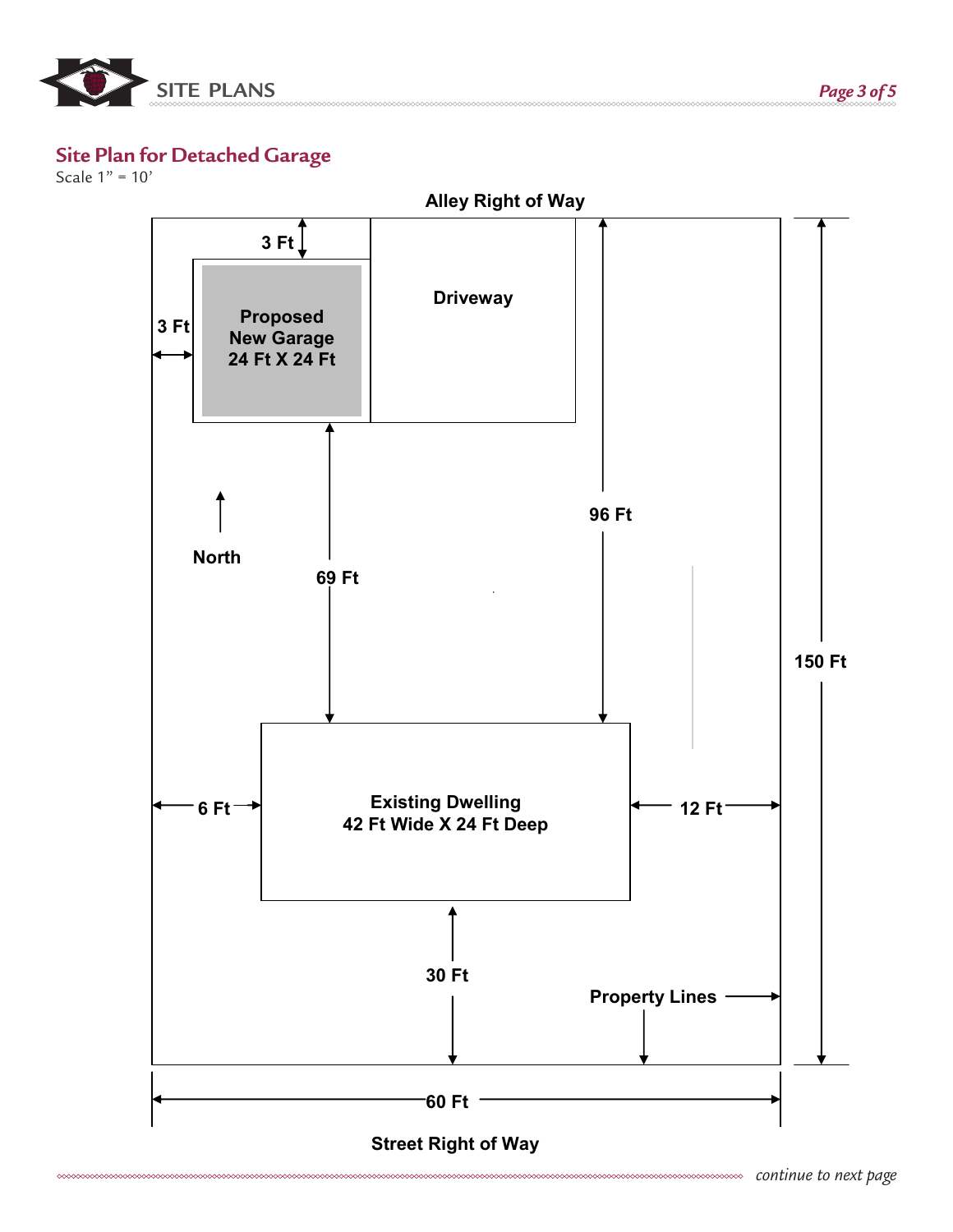

#### **Site Plan for Detached Garage**

Scale 1" = 10'

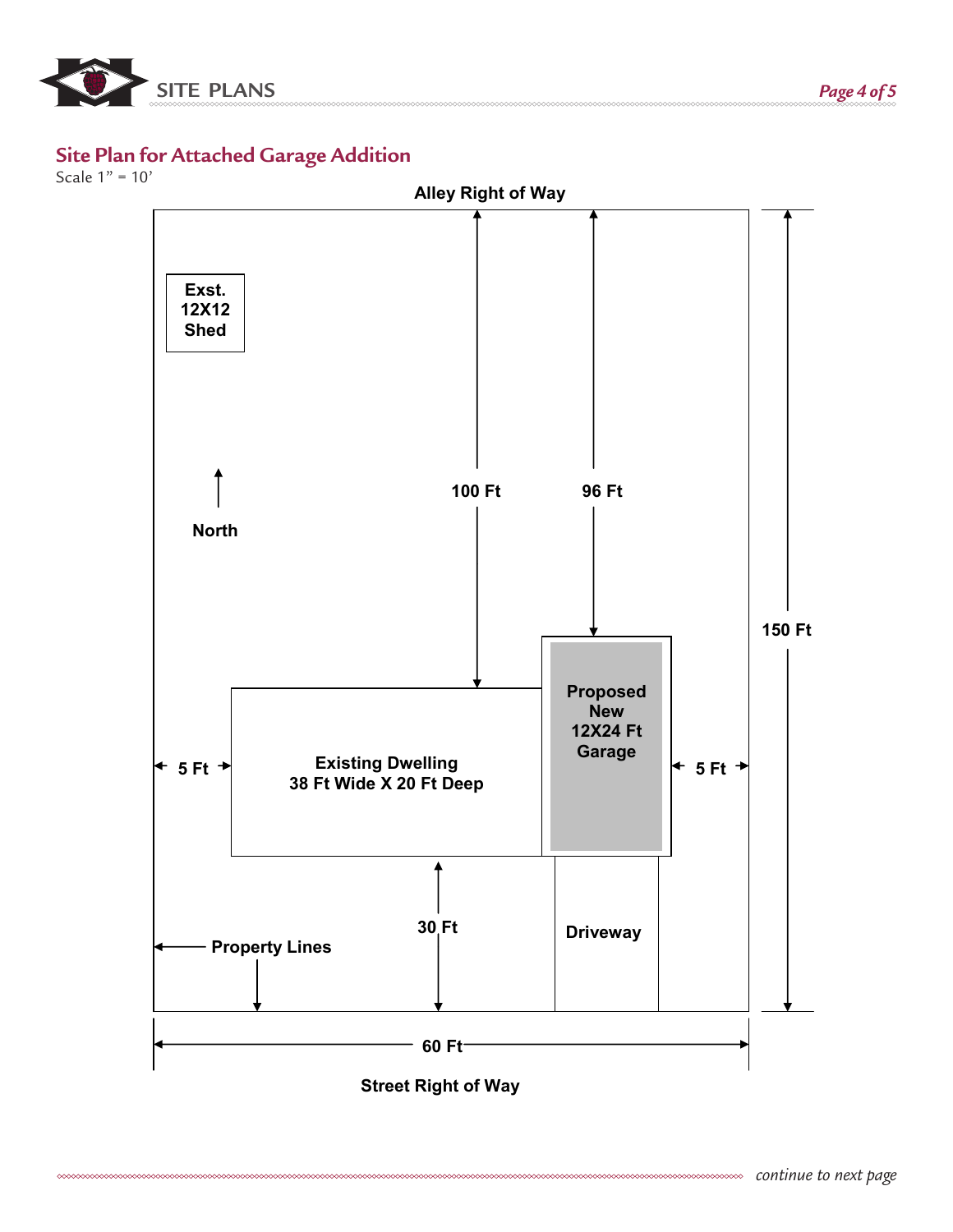

### **Site Plan for Attached Garage Addition**

Scale 1" = 10'